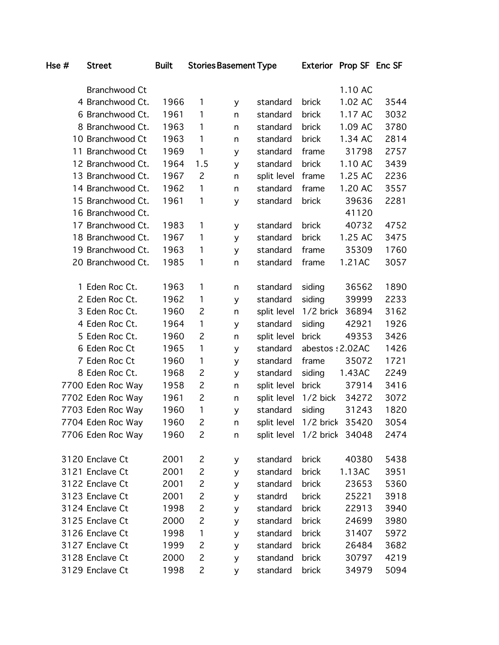|  | Branchwood Ct     |      |                |   |             |                 | 1.10 AC |      |
|--|-------------------|------|----------------|---|-------------|-----------------|---------|------|
|  | 4 Branchwood Ct.  | 1966 | 1              | y | standard    | brick           | 1.02 AC | 3544 |
|  | 6 Branchwood Ct.  | 1961 | 1              | n | standard    | brick           | 1.17 AC | 3032 |
|  | 8 Branchwood Ct.  | 1963 | 1              | n | standard    | brick           | 1.09 AC | 3780 |
|  | 10 Branchwood Ct  | 1963 | 1              | n | standard    | brick           | 1.34 AC | 2814 |
|  | 11 Branchwood Ct  | 1969 | 1              | y | standard    | frame           | 31798   | 2757 |
|  | 12 Branchwood Ct. | 1964 | 1.5            | y | standard    | brick           | 1.10 AC | 3439 |
|  | 13 Branchwood Ct. | 1967 | $\overline{c}$ | n | split level | frame           | 1.25 AC | 2236 |
|  | 14 Branchwood Ct. | 1962 | 1              | n | standard    | frame           | 1.20 AC | 3557 |
|  | 15 Branchwood Ct. | 1961 | 1              | y | standard    | brick           | 39636   | 2281 |
|  | 16 Branchwood Ct. |      |                |   |             |                 | 41120   |      |
|  | 17 Branchwood Ct. | 1983 | 1              | y | standard    | brick           | 40732   | 4752 |
|  | 18 Branchwood Ct. | 1967 | 1              | y | standard    | brick           | 1.25 AC | 3475 |
|  | 19 Branchwood Ct. | 1963 | 1              | y | standard    | frame           | 35309   | 1760 |
|  | 20 Branchwood Ct. | 1985 | 1              | n | standard    | frame           | 1.21AC  | 3057 |
|  |                   |      |                |   |             |                 |         |      |
|  | 1 Eden Roc Ct.    | 1963 | 1              | n | standard    | siding          | 36562   | 1890 |
|  | 2 Eden Roc Ct.    | 1962 | 1              | y | standard    | siding          | 39999   | 2233 |
|  | 3 Eden Roc Ct.    | 1960 | $\overline{c}$ | n | split level | 1/2 brick       | 36894   | 3162 |
|  | 4 Eden Roc Ct.    | 1964 | 1              | y | standard    | siding          | 42921   | 1926 |
|  | 5 Eden Roc Ct.    | 1960 | $\overline{c}$ | n | split level | brick           | 49353   | 3426 |
|  | 6 Eden Roc Ct     | 1965 | 1              | y | standard    | abestos: 2.02AC |         | 1426 |
|  | 7 Eden Roc Ct     | 1960 | 1              | y | standard    | frame           | 35072   | 1721 |
|  | 8 Eden Roc Ct.    | 1968 | $\overline{c}$ | y | standard    | siding          | 1.43AC  | 2249 |
|  | 7700 Eden Roc Way | 1958 | $\overline{c}$ | n | split level | brick           | 37914   | 3416 |
|  | 7702 Eden Roc Way | 1961 | $\overline{c}$ | n | split level | $1/2$ bick      | 34272   | 3072 |
|  | 7703 Eden Roc Way | 1960 | $\mathbf{1}$   | y | standard    | siding          | 31243   | 1820 |
|  | 7704 Eden Roc Way | 1960 | $\overline{c}$ | n | split level | 1/2 brick       | 35420   | 3054 |
|  | 7706 Eden Roc Way | 1960 | $\overline{c}$ | n | split level | 1/2 brick       | 34048   | 2474 |
|  |                   |      |                |   |             |                 |         |      |
|  | 3120 Enclave Ct   | 2001 | 2              | У | standard    | brick           | 40380   | 5438 |
|  | 3121 Enclave Ct   | 2001 | $\overline{c}$ | y | standard    | brick           | 1.13AC  | 3951 |
|  | 3122 Enclave Ct   | 2001 | $\overline{c}$ | y | standard    | brick           | 23653   | 5360 |
|  | 3123 Enclave Ct   | 2001 | $\overline{c}$ | y | standrd     | brick           | 25221   | 3918 |
|  | 3124 Enclave Ct   | 1998 | $\overline{c}$ | y | standard    | brick           | 22913   | 3940 |
|  | 3125 Enclave Ct   | 2000 | $\overline{c}$ | y | standard    | brick           | 24699   | 3980 |
|  | 3126 Enclave Ct   | 1998 | 1              | y | standard    | brick           | 31407   | 5972 |
|  | 3127 Enclave Ct   | 1999 | $\overline{c}$ | y | standard    | brick           | 26484   | 3682 |
|  | 3128 Enclave Ct   | 2000 | $\overline{c}$ | y | standand    | brick           | 30797   | 4219 |
|  | 3129 Enclave Ct   | 1998 | $\overline{c}$ | y | standard    | brick           | 34979   | 5094 |
|  |                   |      |                |   |             |                 |         |      |

Hse # Street Built Stories Basement Type Exterior Prop SF Enc SF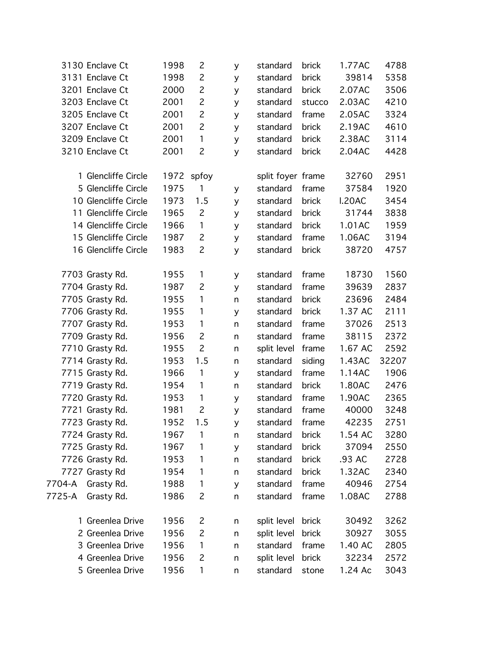|        | 3130 Enclave Ct      | 1998 | $\overline{c}$ | y       | standard          | brick  | 1.77AC  | 4788  |
|--------|----------------------|------|----------------|---------|-------------------|--------|---------|-------|
|        | 3131 Enclave Ct      | 1998 | $\overline{c}$ | y       | standard          | brick  | 39814   | 5358  |
|        | 3201 Enclave Ct      | 2000 | $\overline{c}$ | y       | standard          | brick  | 2.07AC  | 3506  |
|        | 3203 Enclave Ct      | 2001 | $\overline{c}$ | y       | standard          | stucco | 2.03AC  | 4210  |
|        | 3205 Enclave Ct      | 2001 | $\overline{c}$ | y       | standard          | frame  | 2.05AC  | 3324  |
|        | 3207 Enclave Ct      | 2001 | $\overline{c}$ | y       | standard          | brick  | 2.19AC  | 4610  |
|        | 3209 Enclave Ct      | 2001 | 1              | y       | standard          | brick  | 2.38AC  | 3114  |
|        | 3210 Enclave Ct      | 2001 | $\overline{c}$ | y       | standard          | brick  | 2.04AC  | 4428  |
|        | 1 Glencliffe Circle  |      | 1972 spfoy     |         | split foyer frame |        | 32760   | 2951  |
|        | 5 Glencliffe Circle  | 1975 | 1              | y       | standard          | frame  | 37584   | 1920  |
|        | 10 Glencliffe Circle | 1973 | 1.5            | y       | standard          | brick  | I.20AC  | 3454  |
|        | 11 Glencliffe Circle | 1965 | $\overline{c}$ | y       | standard          | brick  | 31744   | 3838  |
|        | 14 Glencliffe Circle | 1966 | $\mathbf{1}$   | y       | standard          | brick  | 1.01AC  | 1959  |
|        | 15 Glencliffe Circle | 1987 | $\overline{c}$ | y       | standard          | frame  | 1.06AC  | 3194  |
|        | 16 Glencliffe Circle | 1983 | $\overline{c}$ | y       | standard          | brick  | 38720   | 4757  |
|        | 7703 Grasty Rd.      | 1955 | $\mathbf{1}$   | y       | standard          | frame  | 18730   | 1560  |
|        | 7704 Grasty Rd.      | 1987 | $\overline{c}$ | y       | standard          | frame  | 39639   | 2837  |
|        | 7705 Grasty Rd.      | 1955 | 1              | n       | standard          | brick  | 23696   | 2484  |
|        | 7706 Grasty Rd.      | 1955 | 1              | y       | standard          | brick  | 1.37 AC | 2111  |
|        | 7707 Grasty Rd.      | 1953 | 1              | n       | standard          | frame  | 37026   | 2513  |
|        | 7709 Grasty Rd.      | 1956 | $\overline{c}$ | n       | standard          | frame  | 38115   | 2372  |
|        | 7710 Grasty Rd.      | 1955 | $\overline{2}$ | n       | split level       | frame  | 1.67 AC | 2592  |
|        | 7714 Grasty Rd.      | 1953 | 1.5            | n       | standard          | siding | 1.43AC  | 32207 |
|        | 7715 Grasty Rd.      | 1966 | $\mathbf{1}$   | y       | standard          | frame  | 1.14AC  | 1906  |
|        | 7719 Grasty Rd.      | 1954 | $\mathbf{1}$   | n       | standard          | brick  | 1.80AC  | 2476  |
|        | 7720 Grasty Rd.      | 1953 | 1              | y       | standard          | frame  | 1.90AC  | 2365  |
|        | 7721 Grasty Rd.      | 1981 | $\overline{c}$ | y       | standard          | frame  | 40000   | 3248  |
|        | 7723 Grasty Rd.      | 1952 | 1.5            | y       | standard          | frame  | 42235   | 2751  |
|        | 7724 Grasty Rd.      | 1967 | 1              | n       | standard          | brick  | 1.54 AC | 3280  |
|        | 7725 Grasty Rd.      | 1967 | 1              | y       | standard          | brick  | 37094   | 2550  |
|        | 7726 Grasty Rd.      | 1953 | 1              | n       | standard          | brick  | .93 AC  | 2728  |
|        | 7727 Grasty Rd       | 1954 | 1              | n       | standard          | brick  | 1.32AC  | 2340  |
| 7704-A | Grasty Rd.           | 1988 | 1              | y       | standard          | frame  | 40946   | 2754  |
| 7725-A | Grasty Rd.           | 1986 | $\overline{c}$ | $\sf n$ | standard          | frame  | 1.08AC  | 2788  |
|        | 1 Greenlea Drive     | 1956 | 2              | n       | split level       | brick  | 30492   | 3262  |
|        | 2 Greenlea Drive     | 1956 | $\overline{c}$ | n       | split level       | brick  | 30927   | 3055  |
|        | 3 Greenlea Drive     | 1956 | $\mathbf{1}$   | n       | standard          | frame  | 1.40 AC | 2805  |
|        | 4 Greenlea Drive     | 1956 | 2              | n       | split level       | brick  | 32234   | 2572  |
|        | 5 Greenlea Drive     | 1956 | $\mathbf{1}$   | n       | standard          | stone  | 1.24 Ac | 3043  |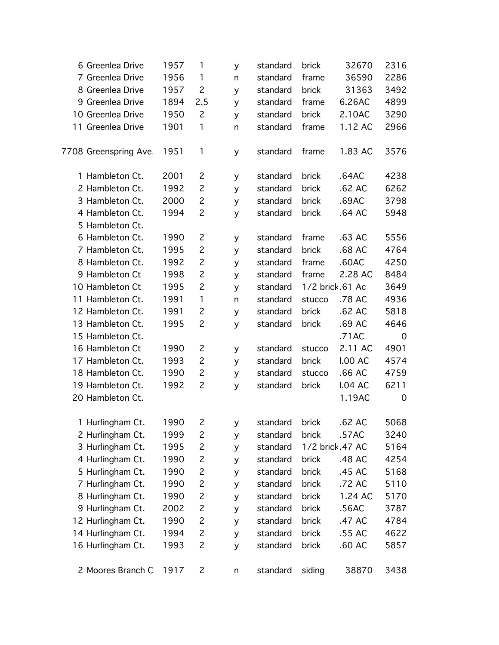| 6 Greenlea Drive      | 1957 | $\mathbf{1}$   | У | standard | brick  | 32670            | 2316        |
|-----------------------|------|----------------|---|----------|--------|------------------|-------------|
| 7 Greenlea Drive      | 1956 | $\mathbf{1}$   | n | standard | frame  | 36590            | 2286        |
| 8 Greenlea Drive      | 1957 | $\overline{c}$ | y | standard | brick  | 31363            | 3492        |
| 9 Greenlea Drive      | 1894 | 2.5            | y | standard | frame  | 6.26AC           | 4899        |
| 10 Greenlea Drive     | 1950 | $\overline{c}$ | y | standard | brick  | 2.10AC           | 3290        |
| 11 Greenlea Drive     | 1901 | 1              | n | standard | frame  | 1.12 AC          | 2966        |
| 7708 Greenspring Ave. | 1951 | $\mathbf{1}$   | y | standard | frame  | 1.83 AC          | 3576        |
| 1 Hambleton Ct.       | 2001 | $\overline{c}$ | y | standard | brick  | .64AC            | 4238        |
| 2 Hambleton Ct.       | 1992 | $\overline{c}$ | y | standard | brick  | .62 AC           | 6262        |
| 3 Hambleton Ct.       | 2000 | $\overline{c}$ | y | standard | brick  | .69AC            | 3798        |
| 4 Hambleton Ct.       | 1994 | $\overline{c}$ | y | standard | brick  | .64 AC           | 5948        |
| 5 Hambleton Ct.       |      |                |   |          |        |                  |             |
| 6 Hambleton Ct.       | 1990 | $\overline{c}$ | у | standard | frame  | .63 AC           | 5556        |
| 7 Hambleton Ct.       | 1995 | $\overline{c}$ | y | standard | brick  | .68 AC           | 4764        |
| 8 Hambleton Ct.       | 1992 | $\overline{c}$ | y | standard | frame  | .60AC            | 4250        |
| 9 Hambleton Ct        | 1998 | $\overline{c}$ | y | standard | frame  | 2.28 AC          | 8484        |
| 10 Hambleton Ct       | 1995 | $\overline{c}$ | y | standard |        | 1/2 brick .61 Ac | 3649        |
| 11 Hambleton Ct.      | 1991 | $\mathbf{1}$   | n | standard | stucco | .78 AC           | 4936        |
| 12 Hambleton Ct.      | 1991 | $\overline{c}$ | y | standard | brick  | .62 AC           | 5818        |
| 13 Hambleton Ct.      | 1995 | $\overline{c}$ | y | standard | brick  | .69 AC           | 4646        |
| 15 Hambleton Ct.      |      |                |   |          |        | .71AC            | $\mathbf 0$ |
| 16 Hambleton Ct       | 1990 | $\overline{c}$ | y | standard | stucco | 2.11 AC          | 4901        |
| 17 Hambleton Ct.      | 1993 | $\overline{c}$ | y | standard | brick  | <b>I.00 AC</b>   | 4574        |
| 18 Hambleton Ct.      | 1990 | $\overline{c}$ | y | standard | stucco | .66 AC           | 4759        |
| 19 Hambleton Ct.      | 1992 | $\overline{c}$ | y | standard | brick  | <b>I.04 AC</b>   | 6211        |
| 20 Hambleton Ct.      |      |                |   |          |        | 1.19AC           | $\mathbf 0$ |
| 1 Hurlingham Ct.      | 1990 | 2              | у | standard | brick  | .62 AC           | 5068        |
| 2 Hurlingham Ct.      | 1999 | $\overline{c}$ | y | standard | brick  | .57AC            | 3240        |
| 3 Hurlingham Ct.      | 1995 | $\overline{c}$ | У | standard |        | 1/2 brick .47 AC | 5164        |
| 4 Hurlingham Ct.      | 1990 | $\overline{c}$ | У | standard | brick  | .48 AC           | 4254        |
| 5 Hurlingham Ct.      | 1990 | $\overline{c}$ | У | standard | brick  | .45 AC           | 5168        |
| 7 Hurlingham Ct.      | 1990 | $\overline{c}$ | У | standard | brick  | .72 AC           | 5110        |
| 8 Hurlingham Ct.      | 1990 | $\overline{c}$ | У | standard | brick  | 1.24 AC          | 5170        |
| 9 Hurlingham Ct.      | 2002 | $\overline{c}$ | У | standard | brick  | .56AC            | 3787        |
| 12 Hurlingham Ct.     | 1990 | $\overline{c}$ | У | standard | brick  | .47 AC           | 4784        |
| 14 Hurlingham Ct.     | 1994 | $\overline{c}$ | У | standard | brick  | .55 AC           | 4622        |
| 16 Hurlingham Ct.     | 1993 | $\overline{c}$ | У | standard | brick  | .60 AC           | 5857        |
| 2 Moores Branch C     | 1917 | 2              | n | standard | siding | 38870            | 3438        |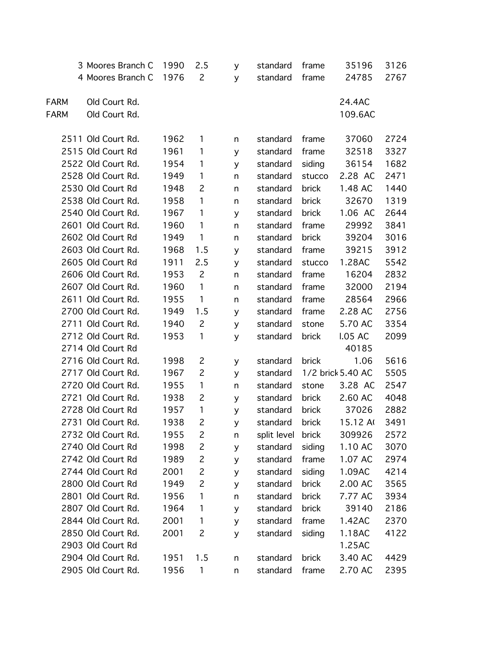|             | 3 Moores Branch C  | 1990 | 2.5            | У            | standard    | frame  | 35196             | 3126 |
|-------------|--------------------|------|----------------|--------------|-------------|--------|-------------------|------|
|             | 4 Moores Branch C  | 1976 | $\mathbf{2}$   | y            | standard    | frame  | 24785             | 2767 |
|             |                    |      |                |              |             |        |                   |      |
| <b>FARM</b> | Old Court Rd.      |      |                |              |             |        | 24.4AC            |      |
| <b>FARM</b> | Old Court Rd.      |      |                |              |             |        | 109.6AC           |      |
|             |                    |      |                |              |             |        |                   |      |
|             | 2511 Old Court Rd. | 1962 | 1              | n            | standard    | frame  | 37060             | 2724 |
|             | 2515 Old Court Rd  | 1961 | 1              | y            | standard    | frame  | 32518             | 3327 |
|             | 2522 Old Court Rd. | 1954 | 1              | y            | standard    | siding | 36154             | 1682 |
|             | 2528 Old Court Rd. | 1949 | 1              | n            | standard    | stucco | 2.28 AC           | 2471 |
|             | 2530 Old Court Rd  | 1948 | $\overline{c}$ | n            | standard    | brick  | 1.48 AC           | 1440 |
|             | 2538 Old Court Rd. | 1958 | $\mathbf{1}$   | n            | standard    | brick  | 32670             | 1319 |
|             | 2540 Old Court Rd. | 1967 | 1              | y            | standard    | brick  | 1.06 AC           | 2644 |
|             | 2601 Old Court Rd. | 1960 | $\mathbf{1}$   | n            | standard    | frame  | 29992             | 3841 |
|             | 2602 Old Court Rd  | 1949 | $\mathbf{1}$   | n            | standard    | brick  | 39204             | 3016 |
|             | 2603 Old Court Rd. | 1968 | 1.5            | y            | standard    | frame  | 39215             | 3912 |
|             | 2605 Old Court Rd  | 1911 | 2.5            | y            | standard    | stucco | 1.28AC            | 5542 |
|             | 2606 Old Court Rd. | 1953 | $\overline{c}$ | $\mathsf{n}$ | standard    | frame  | 16204             | 2832 |
|             | 2607 Old Court Rd. | 1960 | $\mathbf{1}$   | n            | standard    | frame  | 32000             | 2194 |
|             | 2611 Old Court Rd. | 1955 | $\mathbf{1}$   | n            | standard    | frame  | 28564             | 2966 |
|             | 2700 Old Court Rd. | 1949 | 1.5            | y            | standard    | frame  | 2.28 AC           | 2756 |
|             | 2711 Old Court Rd. | 1940 | $\overline{c}$ | y            | standard    | stone  | 5.70 AC           | 3354 |
|             | 2712 Old Court Rd. | 1953 | 1              | y            | standard    | brick  | <b>I.05 AC</b>    | 2099 |
|             | 2714 Old Court Rd  |      |                |              |             |        | 40185             |      |
|             | 2716 Old Court Rd. | 1998 | 2              | y            | standard    | brick  | 1.06              | 5616 |
|             | 2717 Old Court Rd. | 1967 | $\overline{c}$ | y            | standard    |        | 1/2 brick 5.40 AC | 5505 |
|             | 2720 Old Court Rd. | 1955 | $\mathbf{1}$   | n            | standard    | stone  | 3.28 AC           | 2547 |
|             | 2721 Old Court Rd. | 1938 | $\overline{c}$ | y            | standard    | brick  | 2.60 AC           | 4048 |
|             | 2728 Old Court Rd  | 1957 | 1              | y            | standard    | brick  | 37026             | 2882 |
|             | 2731 Old Court Rd. | 1938 | $\overline{c}$ | У            | standard    | brick  | 15.12 A           | 3491 |
|             | 2732 Old Court Rd. | 1955 | 2              | n            | split level | brick  | 309926            | 2572 |
|             | 2740 Old Court Rd  | 1998 | $\overline{c}$ | y            | standard    | siding | 1.10 AC           | 3070 |
|             | 2742 Old Court Rd  | 1989 | $\overline{c}$ | y            | standard    | frame  | 1.07 AC           | 2974 |
|             | 2744 Old Court Rd  | 2001 | $\overline{c}$ | y            | standard    | siding | 1.09AC            | 4214 |
|             | 2800 Old Court Rd  | 1949 | $\overline{c}$ | y            | standard    | brick  | 2.00 AC           | 3565 |
|             | 2801 Old Court Rd. | 1956 | 1              | n            | standard    | brick  | 7.77 AC           | 3934 |
|             | 2807 Old Court Rd. | 1964 | 1              | y            | standard    | brick  | 39140             | 2186 |
|             | 2844 Old Court Rd. | 2001 | 1              | y            | standard    | frame  | 1.42AC            | 2370 |
|             | 2850 Old Court Rd. | 2001 | 2              | y            | standard    | siding | 1.18AC            | 4122 |
|             | 2903 Old Court Rd  |      |                |              |             |        | 1.25AC            |      |
|             | 2904 Old Court Rd. | 1951 | 1.5            | n            | standard    | brick  | 3.40 AC           | 4429 |
|             | 2905 Old Court Rd. | 1956 | 1              | n            | standard    | frame  | 2.70 AC           | 2395 |
|             |                    |      |                |              |             |        |                   |      |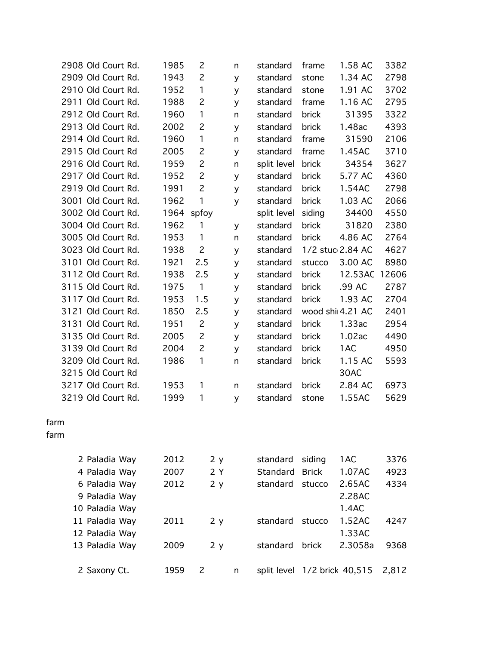|      | 2908 Old Court Rd. | 1985 | 2              | n            | standard                     | frame            | 1.58 AC          | 3382  |
|------|--------------------|------|----------------|--------------|------------------------------|------------------|------------------|-------|
|      | 2909 Old Court Rd. | 1943 | $\overline{c}$ | y            | standard                     | stone            | 1.34 AC          | 2798  |
|      | 2910 Old Court Rd. | 1952 | 1              | y            | standard                     | stone            | 1.91 AC          | 3702  |
|      | 2911 Old Court Rd. | 1988 | $\overline{c}$ | y            | standard                     | frame            | 1.16 AC          | 2795  |
|      | 2912 Old Court Rd. | 1960 | 1              | $\mathsf{n}$ | standard                     | brick            | 31395            | 3322  |
|      | 2913 Old Court Rd. | 2002 | $\overline{c}$ | y            | standard                     | brick            | 1.48ac           | 4393  |
|      | 2914 Old Court Rd. | 1960 | 1              | n            | standard                     | frame            | 31590            | 2106  |
|      | 2915 Old Court Rd  | 2005 | $\overline{c}$ | y            | standard                     | frame            | 1.45AC           | 3710  |
|      | 2916 Old Court Rd. | 1959 | $\overline{c}$ | n            | split level                  | brick            | 34354            | 3627  |
|      | 2917 Old Court Rd. | 1952 | $\overline{c}$ | y            | standard                     | brick            | 5.77 AC          | 4360  |
|      | 2919 Old Court Rd. | 1991 | $\overline{c}$ | y            | standard                     | brick            | 1.54AC           | 2798  |
|      | 3001 Old Court Rd. | 1962 | 1              | y            | standard                     | brick            | 1.03 AC          | 2066  |
|      | 3002 Old Court Rd. | 1964 | spfoy          |              | split level                  | siding           | 34400            | 4550  |
|      | 3004 Old Court Rd. | 1962 | 1              | y            | standard                     | brick            | 31820            | 2380  |
|      | 3005 Old Court Rd. | 1953 | $\mathbf{1}$   | n            | standard                     | brick            | 4.86 AC          | 2764  |
|      | 3023 Old Court Rd. | 1938 | $\overline{c}$ | y            | standard                     | 1/2 stuc 2.84 AC |                  | 4627  |
|      | 3101 Old Court Rd. | 1921 | 2.5            | y            | standard                     | stucco           | 3.00 AC          | 8980  |
|      | 3112 Old Court Rd. | 1938 | 2.5            | y            | standard                     | brick            | 12.53AC          | 12606 |
|      | 3115 Old Court Rd. | 1975 | $\mathbf{1}$   | y            | standard                     | brick            | .99 AC           | 2787  |
|      | 3117 Old Court Rd. | 1953 | 1.5            | y            | standard                     | brick            | 1.93 AC          | 2704  |
|      | 3121 Old Court Rd. | 1850 | 2.5            | y            | standard                     |                  | wood shi 4.21 AC | 2401  |
|      | 3131 Old Court Rd. | 1951 | $\overline{c}$ | y            | standard                     | brick            | 1.33ac           | 2954  |
|      | 3135 Old Court Rd. | 2005 | $\overline{c}$ | y            | standard                     | brick            | 1.02ac           | 4490  |
|      | 3139 Old Court Rd  | 2004 | $\overline{c}$ | y            | standard                     | brick            | 1AC              | 4950  |
|      | 3209 Old Court Rd. | 1986 | 1              | n            | standard                     | brick            | 1.15 AC          | 5593  |
|      | 3215 Old Court Rd  |      |                |              |                              |                  | 30AC             |       |
|      | 3217 Old Court Rd. | 1953 | 1              | n            | standard                     | brick            | 2.84 AC          | 6973  |
|      | 3219 Old Court Rd. | 1999 | 1              | y            | standard                     | stone            | 1.55AC           | 5629  |
| farm |                    |      |                |              |                              |                  |                  |       |
| farm |                    |      |                |              |                              |                  |                  |       |
|      | 2 Paladia Way      | 2012 | 2 y            |              | standard                     | siding           | 1AC              | 3376  |
|      | 4 Paladia Way      | 2007 | 2Y             |              | Standard                     | <b>Brick</b>     | 1.07AC           | 4923  |
|      | 6 Paladia Way      | 2012 | 2 y            |              | standard                     | stucco           | 2.65AC           | 4334  |
|      | 9 Paladia Way      |      |                |              |                              |                  | 2.28AC           |       |
|      | 10 Paladia Way     |      |                |              |                              |                  | 1.4AC            |       |
|      | 11 Paladia Way     | 2011 | 2y             |              | standard                     | stucco           | 1.52AC           | 4247  |
|      | 12 Paladia Way     |      |                |              |                              |                  | 1.33AC           |       |
|      | 13 Paladia Way     | 2009 | 2 y            |              | standard                     | brick            | 2.3058a          | 9368  |
|      | 2 Saxony Ct.       | 1959 | 2              | n            | split level 1/2 brick 40,515 |                  |                  | 2,812 |